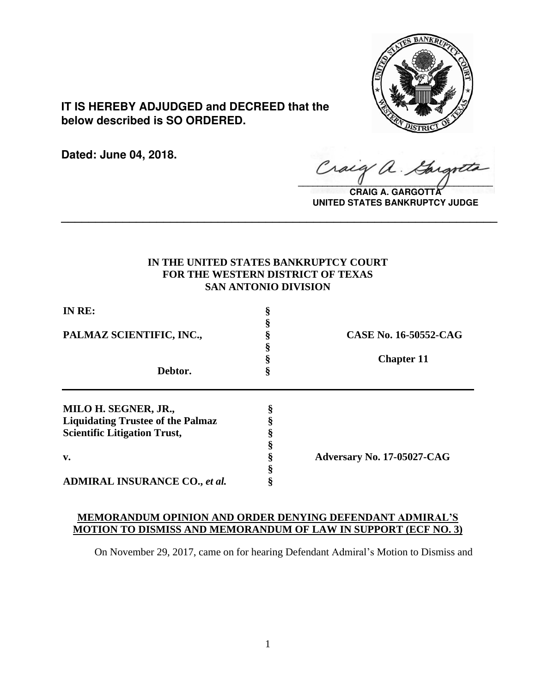

**IT IS HEREBY ADJUDGED and DECREED that the below described is SO ORDERED.**

**Dated: June 04, 2018.**

Craig a.  $\sqrt{2}$ 

**CRAIG A. GARGOTTA UNITED STATES BANKRUPTCY JUDGE**

# **IN THE UNITED STATES BANKRUPTCY COURT FOR THE WESTERN DISTRICT OF TEXAS SAN ANTONIO DIVISION**

**\_\_\_\_\_\_\_\_\_\_\_\_\_\_\_\_\_\_\_\_\_\_\_\_\_\_\_\_\_\_\_\_\_\_\_\_\_\_\_\_\_\_\_\_\_\_\_\_\_\_\_\_\_\_\_\_\_\_\_\_\_\_\_\_**

| IN RE:<br>PALMAZ SCIENTIFIC, INC.,<br>Debtor. | CASE No. 16-50552-CAG                    |                   |
|-----------------------------------------------|------------------------------------------|-------------------|
|                                               |                                          |                   |
|                                               |                                          | <b>Chapter 11</b> |
|                                               |                                          |                   |
|                                               | MILO H. SEGNER, JR.,                     |                   |
|                                               | <b>Liquidating Trustee of the Palmaz</b> |                   |
| <b>Scientific Litigation Trust,</b>           |                                          |                   |
|                                               |                                          |                   |
| $\mathbf{v}$ .                                | Adversary No. 17-05027-CAG               |                   |
|                                               |                                          |                   |
| <b>ADMIRAL INSURANCE CO., et al.</b>          |                                          |                   |

# **MEMORANDUM OPINION AND ORDER DENYING DEFENDANT ADMIRAL'S MOTION TO DISMISS AND MEMORANDUM OF LAW IN SUPPORT (ECF NO. 3)**

On November 29, 2017, came on for hearing Defendant Admiral's Motion to Dismiss and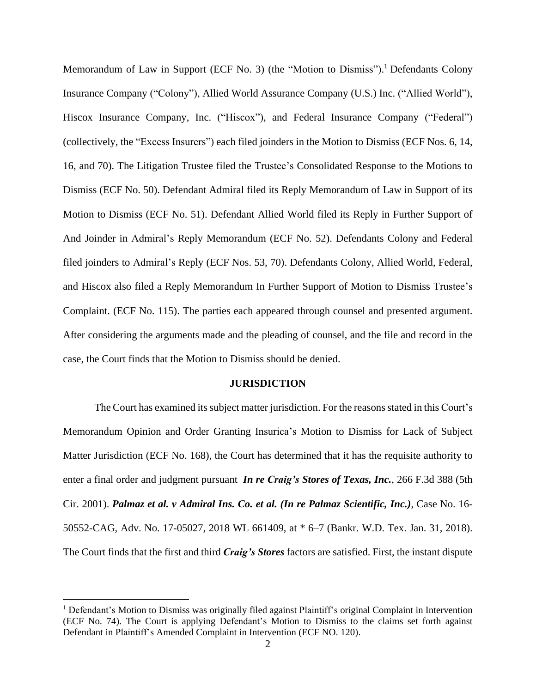Memorandum of Law in Support (ECF No. 3) (the "Motion to Dismiss").<sup>1</sup> Defendants Colony Insurance Company ("Colony"), Allied World Assurance Company (U.S.) Inc. ("Allied World"), Hiscox Insurance Company, Inc. ("Hiscox"), and Federal Insurance Company ("Federal") (collectively, the "Excess Insurers") each filed joinders in the Motion to Dismiss (ECF Nos. 6, 14, 16, and 70). The Litigation Trustee filed the Trustee's Consolidated Response to the Motions to Dismiss (ECF No. 50). Defendant Admiral filed its Reply Memorandum of Law in Support of its Motion to Dismiss (ECF No. 51). Defendant Allied World filed its Reply in Further Support of And Joinder in Admiral's Reply Memorandum (ECF No. 52). Defendants Colony and Federal filed joinders to Admiral's Reply (ECF Nos. 53, 70). Defendants Colony, Allied World, Federal, and Hiscox also filed a Reply Memorandum In Further Support of Motion to Dismiss Trustee's Complaint. (ECF No. 115). The parties each appeared through counsel and presented argument. After considering the arguments made and the pleading of counsel, and the file and record in the case, the Court finds that the Motion to Dismiss should be denied.

#### **JURISDICTION**

The Court has examined its subject matter jurisdiction. For the reasons stated in this Court's Memorandum Opinion and Order Granting Insurica's Motion to Dismiss for Lack of Subject Matter Jurisdiction (ECF No. 168), the Court has determined that it has the requisite authority to enter a final order and judgment pursuant *In re Craig's Stores of Texas, Inc.*, 266 F.3d 388 (5th Cir. 2001). *Palmaz et al. v Admiral Ins. Co. et al. (In re Palmaz Scientific, Inc.)*, Case No. 16- 50552-CAG, Adv. No. 17-05027, 2018 WL 661409, at \* 6–7 (Bankr. W.D. Tex. Jan. 31, 2018). The Court finds that the first and third *Craig's Stores* factors are satisfied. First, the instant dispute

<sup>&</sup>lt;sup>1</sup> Defendant's Motion to Dismiss was originally filed against Plaintiff's original Complaint in Intervention (ECF No. 74). The Court is applying Defendant's Motion to Dismiss to the claims set forth against Defendant in Plaintiff's Amended Complaint in Intervention (ECF NO. 120).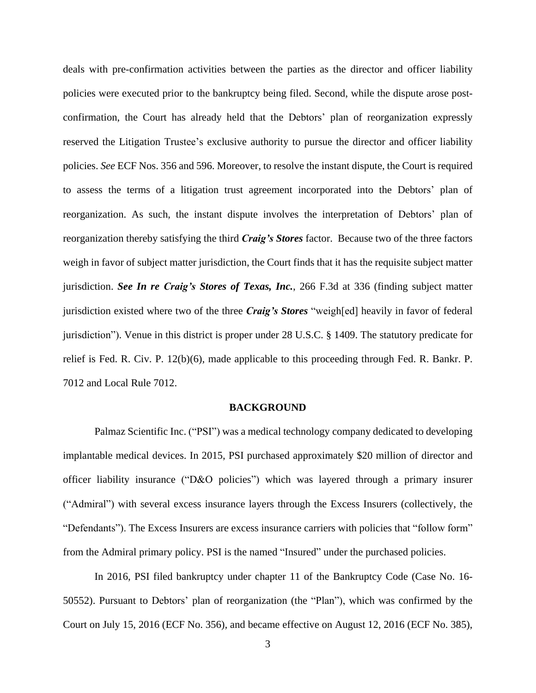deals with pre-confirmation activities between the parties as the director and officer liability policies were executed prior to the bankruptcy being filed. Second, while the dispute arose postconfirmation, the Court has already held that the Debtors' plan of reorganization expressly reserved the Litigation Trustee's exclusive authority to pursue the director and officer liability policies. *See* ECF Nos. 356 and 596. Moreover, to resolve the instant dispute, the Court is required to assess the terms of a litigation trust agreement incorporated into the Debtors' plan of reorganization. As such, the instant dispute involves the interpretation of Debtors' plan of reorganization thereby satisfying the third *Craig's Stores* factor. Because two of the three factors weigh in favor of subject matter jurisdiction, the Court finds that it has the requisite subject matter jurisdiction. *See In re Craig's Stores of Texas, Inc.*, 266 F.3d at 336 (finding subject matter jurisdiction existed where two of the three *Craig's Stores* "weigh[ed] heavily in favor of federal jurisdiction"). Venue in this district is proper under 28 U.S.C. § 1409. The statutory predicate for relief is Fed. R. Civ. P. 12(b)(6), made applicable to this proceeding through Fed. R. Bankr. P. 7012 and Local Rule 7012.

#### **BACKGROUND**

Palmaz Scientific Inc. ("PSI") was a medical technology company dedicated to developing implantable medical devices. In 2015, PSI purchased approximately \$20 million of director and officer liability insurance ("D&O policies") which was layered through a primary insurer ("Admiral") with several excess insurance layers through the Excess Insurers (collectively, the "Defendants"). The Excess Insurers are excess insurance carriers with policies that "follow form" from the Admiral primary policy. PSI is the named "Insured" under the purchased policies.

In 2016, PSI filed bankruptcy under chapter 11 of the Bankruptcy Code (Case No. 16- 50552). Pursuant to Debtors' plan of reorganization (the "Plan"), which was confirmed by the Court on July 15, 2016 (ECF No. 356), and became effective on August 12, 2016 (ECF No. 385),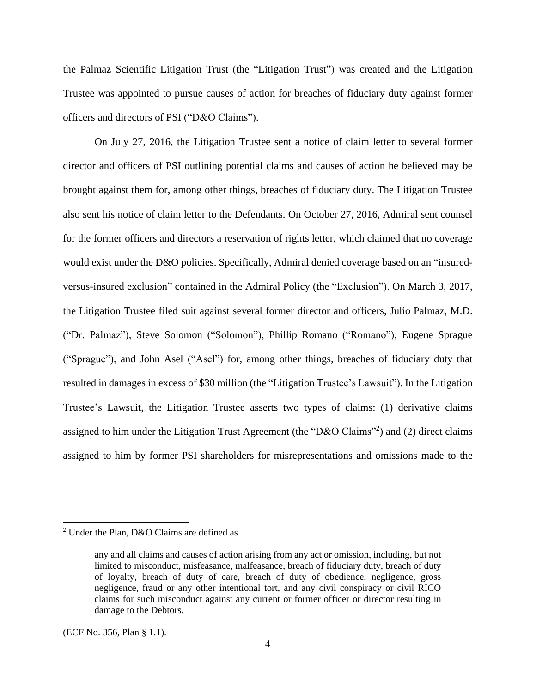the Palmaz Scientific Litigation Trust (the "Litigation Trust") was created and the Litigation Trustee was appointed to pursue causes of action for breaches of fiduciary duty against former officers and directors of PSI ("D&O Claims").

On July 27, 2016, the Litigation Trustee sent a notice of claim letter to several former director and officers of PSI outlining potential claims and causes of action he believed may be brought against them for, among other things, breaches of fiduciary duty. The Litigation Trustee also sent his notice of claim letter to the Defendants. On October 27, 2016, Admiral sent counsel for the former officers and directors a reservation of rights letter, which claimed that no coverage would exist under the D&O policies. Specifically, Admiral denied coverage based on an "insuredversus-insured exclusion" contained in the Admiral Policy (the "Exclusion"). On March 3, 2017, the Litigation Trustee filed suit against several former director and officers, Julio Palmaz, M.D. ("Dr. Palmaz"), Steve Solomon ("Solomon"), Phillip Romano ("Romano"), Eugene Sprague ("Sprague"), and John Asel ("Asel") for, among other things, breaches of fiduciary duty that resulted in damages in excess of \$30 million (the "Litigation Trustee's Lawsuit"). In the Litigation Trustee's Lawsuit, the Litigation Trustee asserts two types of claims: (1) derivative claims assigned to him under the Litigation Trust Agreement (the "D&O Claims"<sup>2</sup>) and (2) direct claims assigned to him by former PSI shareholders for misrepresentations and omissions made to the

<sup>2</sup> Under the Plan, D&O Claims are defined as

any and all claims and causes of action arising from any act or omission, including, but not limited to misconduct, misfeasance, malfeasance, breach of fiduciary duty, breach of duty of loyalty, breach of duty of care, breach of duty of obedience, negligence, gross negligence, fraud or any other intentional tort, and any civil conspiracy or civil RICO claims for such misconduct against any current or former officer or director resulting in damage to the Debtors.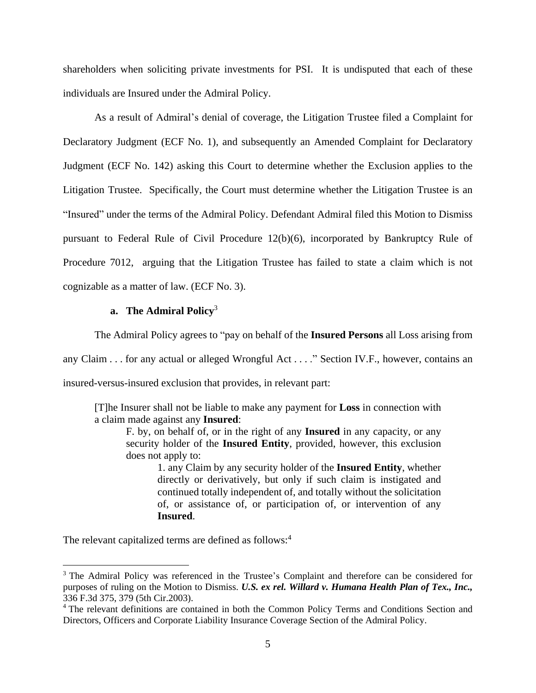shareholders when soliciting private investments for PSI. It is undisputed that each of these individuals are Insured under the Admiral Policy.

As a result of Admiral's denial of coverage, the Litigation Trustee filed a Complaint for Declaratory Judgment (ECF No. 1), and subsequently an Amended Complaint for Declaratory Judgment (ECF No. 142) asking this Court to determine whether the Exclusion applies to the Litigation Trustee. Specifically, the Court must determine whether the Litigation Trustee is an "Insured" under the terms of the Admiral Policy. Defendant Admiral filed this Motion to Dismiss pursuant to Federal Rule of Civil Procedure 12(b)(6), incorporated by Bankruptcy Rule of Procedure 7012, arguing that the Litigation Trustee has failed to state a claim which is not cognizable as a matter of law. (ECF No. 3).

## **a. The Admiral Policy**<sup>3</sup>

The Admiral Policy agrees to "pay on behalf of the **Insured Persons** all Loss arising from

any Claim . . . for any actual or alleged Wrongful Act . . . ." Section IV.F., however, contains an insured-versus-insured exclusion that provides, in relevant part:

[T]he Insurer shall not be liable to make any payment for **Loss** in connection with a claim made against any **Insured**:

F. by, on behalf of, or in the right of any **Insured** in any capacity, or any security holder of the **Insured Entity**, provided, however, this exclusion does not apply to:

1. any Claim by any security holder of the **Insured Entity**, whether directly or derivatively, but only if such claim is instigated and continued totally independent of, and totally without the solicitation of, or assistance of, or participation of, or intervention of any **Insured**.

The relevant capitalized terms are defined as follows:<sup>4</sup>

<sup>&</sup>lt;sup>3</sup> The Admiral Policy was referenced in the Trustee's Complaint and therefore can be considered for purposes of ruling on the Motion to Dismiss. *U.S. ex rel. Willard v. Humana Health Plan of Tex., Inc.,* 336 F.3d 375, 379 (5th Cir.2003).

<sup>&</sup>lt;sup>4</sup> The relevant definitions are contained in both the Common Policy Terms and Conditions Section and Directors, Officers and Corporate Liability Insurance Coverage Section of the Admiral Policy.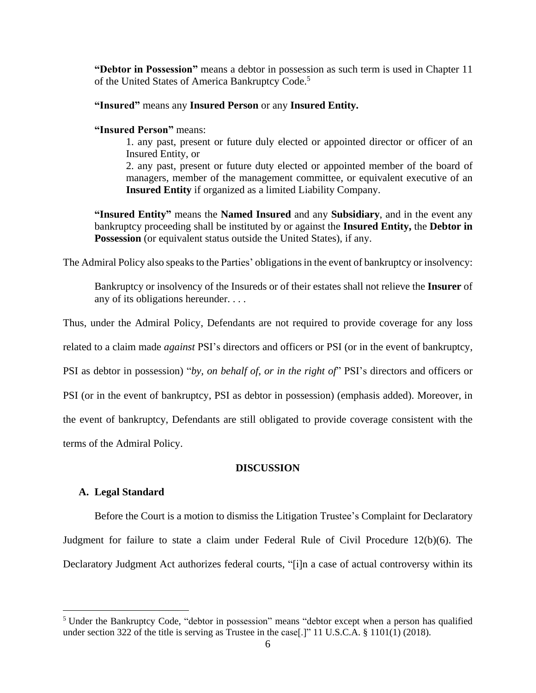**"Debtor in Possession"** means a debtor in possession as such term is used in Chapter 11 of the United States of America Bankruptcy Code.<sup>5</sup>

## **"Insured"** means any **Insured Person** or any **Insured Entity.**

## **"Insured Person"** means:

1. any past, present or future duly elected or appointed director or officer of an Insured Entity, or

2. any past, present or future duty elected or appointed member of the board of managers, member of the management committee, or equivalent executive of an **Insured Entity** if organized as a limited Liability Company.

**"Insured Entity"** means the **Named Insured** and any **Subsidiary**, and in the event any bankruptcy proceeding shall be instituted by or against the **Insured Entity,** the **Debtor in Possession** (or equivalent status outside the United States), if any.

The Admiral Policy also speaks to the Parties' obligations in the event of bankruptcy or insolvency:

Bankruptcy or insolvency of the Insureds or of their estates shall not relieve the **Insurer** of any of its obligations hereunder. . . .

Thus, under the Admiral Policy, Defendants are not required to provide coverage for any loss

related to a claim made *against* PSI's directors and officers or PSI (or in the event of bankruptcy,

PSI as debtor in possession) "*by, on behalf of, or in the right of*" PSI's directors and officers or

PSI (or in the event of bankruptcy, PSI as debtor in possession) (emphasis added). Moreover, in

the event of bankruptcy, Defendants are still obligated to provide coverage consistent with the

terms of the Admiral Policy.

## **DISCUSSION**

## **A. Legal Standard**

 $\overline{a}$ 

Before the Court is a motion to dismiss the Litigation Trustee's Complaint for Declaratory Judgment for failure to state a claim under Federal Rule of Civil Procedure 12(b)(6). The Declaratory Judgment Act authorizes federal courts, "[i]n a case of actual controversy within its

<sup>&</sup>lt;sup>5</sup> Under the Bankruptcy Code, "debtor in possession" means "debtor except when a person has qualified under section 322 of the title is serving as Trustee in the case [.]" 11 U.S.C.A.  $\S$  1101(1) (2018).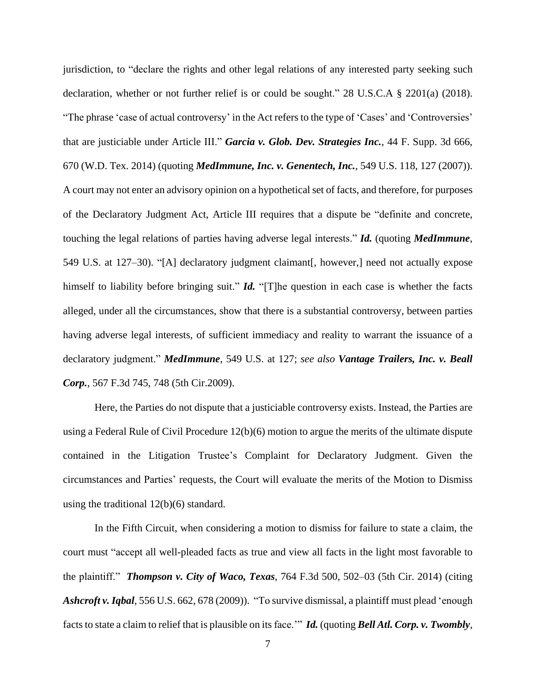jurisdiction, to "declare the rights and other legal relations of any interested party seeking such declaration, whether or not further relief is or could be sought." 28 U.S.C.A § 2201(a) (2018). "The phrase 'case of actual controversy' in the Act refers to the type of 'Cases' and 'Controversies' that are justiciable under Article III." *Garcia v. Glob. Dev. Strategies Inc.*, 44 F. Supp. 3d 666, 670 (W.D. Tex. 2014) (quoting *MedImmune, Inc. v. Genentech, Inc.*, 549 U.S. 118, 127 (2007)). A court may not enter an advisory opinion on a hypothetical set of facts, and therefore, for purposes of the Declaratory Judgment Act, Article III requires that a dispute be "definite and concrete, touching the legal relations of parties having adverse legal interests." *Id.* (quoting *MedImmune*, 549 U.S. at 127–30). "[A] declaratory judgment claimant[, however,] need not actually expose himself to liability before bringing suit." *Id.* "[T]he question in each case is whether the facts alleged, under all the circumstances, show that there is a substantial controversy, between parties having adverse legal interests, of sufficient immediacy and reality to warrant the issuance of a declaratory judgment." *MedImmune*, 549 U.S. at 127; *see also Vantage Trailers, Inc. v. Beall Corp.*, 567 F.3d 745, 748 (5th Cir.2009).

Here, the Parties do not dispute that a justiciable controversy exists. Instead, the Parties are using a Federal Rule of Civil Procedure  $12(b)(6)$  motion to argue the merits of the ultimate dispute contained in the Litigation Trustee's Complaint for Declaratory Judgment. Given the circumstances and Parties' requests, the Court will evaluate the merits of the Motion to Dismiss using the traditional 12(b)(6) standard.

In the Fifth Circuit, when considering a motion to dismiss for failure to state a claim, the court must "accept all well-pleaded facts as true and view all facts in the light most favorable to the plaintiff." *Thompson v. City of Waco, Texas*, 764 F.3d 500, 502–03 (5th Cir. 2014) (citing *Ashcroft v.Iqbal*, 556 U.S. 662, 678 (2009)). "To survive dismissal, a plaintiff must plead 'enough facts to state a claim to relief that is plausible on its face." *Id.* (quoting *Bell Atl. Corp. v. Twombly*,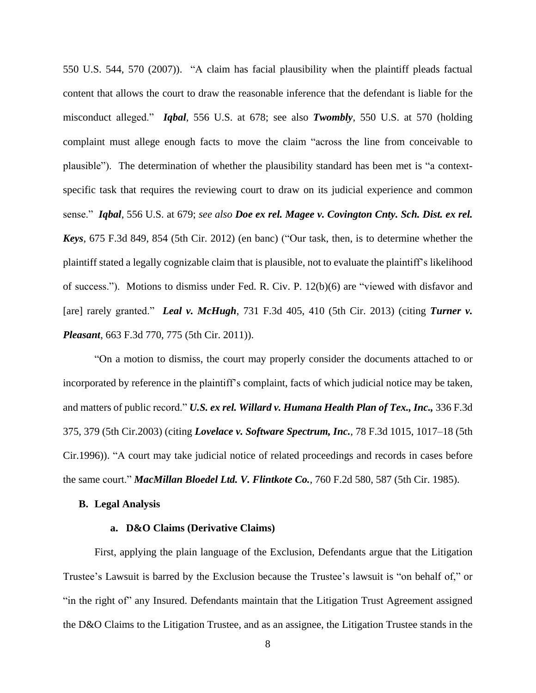550 U.S. 544, 570 (2007)). "A claim has facial plausibility when the plaintiff pleads factual content that allows the court to draw the reasonable inference that the defendant is liable for the misconduct alleged." *Iqbal*, 556 U.S. at 678; see also *Twombly*, 550 U.S. at 570 (holding complaint must allege enough facts to move the claim "across the line from conceivable to plausible"). The determination of whether the plausibility standard has been met is "a contextspecific task that requires the reviewing court to draw on its judicial experience and common sense." *Iqbal*, 556 U.S. at 679; *see also Doe ex rel. Magee v. Covington Cnty. Sch. Dist. ex rel. Keys*, 675 F.3d 849, 854 (5th Cir. 2012) (en banc) ("Our task, then, is to determine whether the plaintiff stated a legally cognizable claim that is plausible, not to evaluate the plaintiff's likelihood of success."). Motions to dismiss under Fed. R. Civ. P. 12(b)(6) are "viewed with disfavor and [are] rarely granted." *Leal v. McHugh*, 731 F.3d 405, 410 (5th Cir. 2013) (citing *Turner v. Pleasant*, 663 F.3d 770, 775 (5th Cir. 2011)).

"On a motion to dismiss, the court may properly consider the documents attached to or incorporated by reference in the plaintiff's complaint, facts of which judicial notice may be taken, and matters of public record." *U.S. ex rel. Willard v. Humana Health Plan of Tex., Inc.,* 336 F.3d 375, 379 (5th Cir.2003) (citing *Lovelace v. Software Spectrum, Inc.*, 78 F.3d 1015, 1017–18 (5th Cir.1996)). "A court may take judicial notice of related proceedings and records in cases before the same court." *MacMillan Bloedel Ltd. V. Flintkote Co.*, 760 F.2d 580, 587 (5th Cir. 1985).

#### **B. Legal Analysis**

#### **a. D&O Claims (Derivative Claims)**

First, applying the plain language of the Exclusion, Defendants argue that the Litigation Trustee's Lawsuit is barred by the Exclusion because the Trustee's lawsuit is "on behalf of," or "in the right of" any Insured. Defendants maintain that the Litigation Trust Agreement assigned the D&O Claims to the Litigation Trustee, and as an assignee, the Litigation Trustee stands in the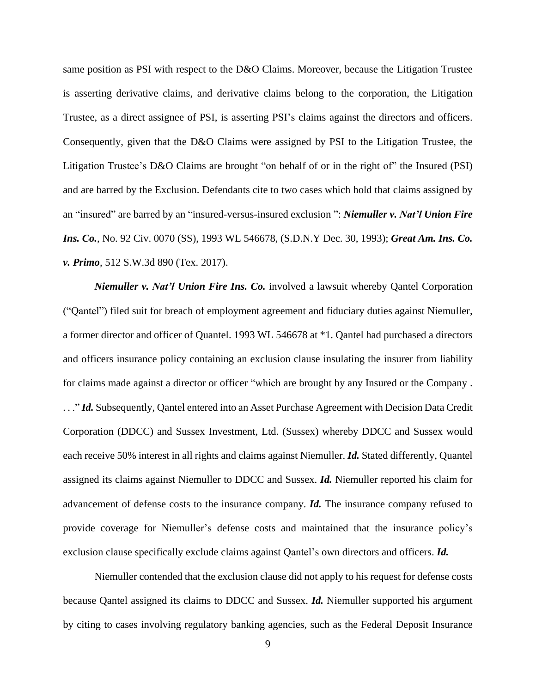same position as PSI with respect to the D&O Claims. Moreover, because the Litigation Trustee is asserting derivative claims, and derivative claims belong to the corporation, the Litigation Trustee, as a direct assignee of PSI, is asserting PSI's claims against the directors and officers. Consequently, given that the D&O Claims were assigned by PSI to the Litigation Trustee, the Litigation Trustee's D&O Claims are brought "on behalf of or in the right of" the Insured (PSI) and are barred by the Exclusion. Defendants cite to two cases which hold that claims assigned by an "insured" are barred by an "insured-versus-insured exclusion ": *Niemuller v. Nat'l Union Fire Ins. Co.*, No. 92 Civ. 0070 (SS), 1993 WL 546678, (S.D.N.Y Dec. 30, 1993); *Great Am. Ins. Co. v. Primo*, 512 S.W.3d 890 (Tex. 2017).

*Niemuller v. Nat'l Union Fire Ins. Co.* involved a lawsuit whereby Qantel Corporation ("Qantel") filed suit for breach of employment agreement and fiduciary duties against Niemuller, a former director and officer of Quantel. 1993 WL 546678 at \*1. Qantel had purchased a directors and officers insurance policy containing an exclusion clause insulating the insurer from liability for claims made against a director or officer "which are brought by any Insured or the Company . ..." *Id.* Subsequently, Qantel entered into an Asset Purchase Agreement with Decision Data Credit Corporation (DDCC) and Sussex Investment, Ltd. (Sussex) whereby DDCC and Sussex would each receive 50% interest in all rights and claims against Niemuller. *Id.* Stated differently, Quantel assigned its claims against Niemuller to DDCC and Sussex. *Id.* Niemuller reported his claim for advancement of defense costs to the insurance company. *Id.* The insurance company refused to provide coverage for Niemuller's defense costs and maintained that the insurance policy's exclusion clause specifically exclude claims against Qantel's own directors and officers. *Id.*

Niemuller contended that the exclusion clause did not apply to his request for defense costs because Qantel assigned its claims to DDCC and Sussex. *Id.* Niemuller supported his argument by citing to cases involving regulatory banking agencies, such as the Federal Deposit Insurance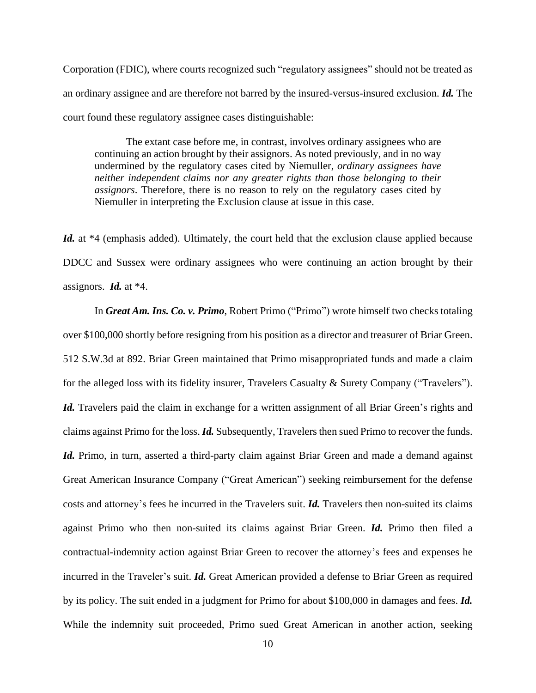Corporation (FDIC), where courts recognized such "regulatory assignees" should not be treated as an ordinary assignee and are therefore not barred by the insured-versus-insured exclusion. *Id.* The court found these regulatory assignee cases distinguishable:

The extant case before me, in contrast, involves ordinary assignees who are continuing an action brought by their assignors. As noted previously, and in no way undermined by the regulatory cases cited by Niemuller, *ordinary assignees have neither independent claims nor any greater rights than those belonging to their assignors*. Therefore, there is no reason to rely on the regulatory cases cited by Niemuller in interpreting the Exclusion clause at issue in this case.

Id. at <sup>\*4</sup> (emphasis added). Ultimately, the court held that the exclusion clause applied because DDCC and Sussex were ordinary assignees who were continuing an action brought by their assignors. *Id.* at \*4.

In *Great Am. Ins. Co. v. Primo*, Robert Primo ("Primo") wrote himself two checks totaling over \$100,000 shortly before resigning from his position as a director and treasurer of Briar Green. 512 S.W.3d at 892. Briar Green maintained that Primo misappropriated funds and made a claim for the alleged loss with its fidelity insurer, Travelers Casualty & Surety Company ("Travelers"). *Id.* Travelers paid the claim in exchange for a written assignment of all Briar Green's rights and claims against Primo for the loss. *Id.* Subsequently, Travelersthen sued Primo to recover the funds. *Id.* Primo, in turn, asserted a third-party claim against Briar Green and made a demand against Great American Insurance Company ("Great American") seeking reimbursement for the defense costs and attorney's fees he incurred in the Travelers suit. *Id.* Travelers then non-suited its claims against Primo who then non-suited its claims against Briar Green. *Id.* Primo then filed a contractual-indemnity action against Briar Green to recover the attorney's fees and expenses he incurred in the Traveler's suit. *Id.* Great American provided a defense to Briar Green as required by its policy. The suit ended in a judgment for Primo for about \$100,000 in damages and fees. *Id.* While the indemnity suit proceeded, Primo sued Great American in another action, seeking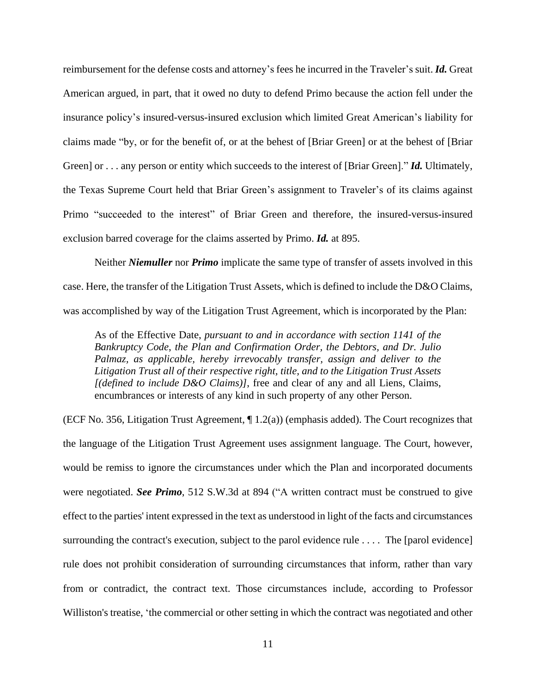reimbursement for the defense costs and attorney's fees he incurred in the Traveler's suit. *Id.* Great American argued, in part, that it owed no duty to defend Primo because the action fell under the insurance policy's insured-versus-insured exclusion which limited Great American's liability for claims made "by, or for the benefit of, or at the behest of [Briar Green] or at the behest of [Briar Green] or . . . any person or entity which succeeds to the interest of [Briar Green]." *Id.* Ultimately, the Texas Supreme Court held that Briar Green's assignment to Traveler's of its claims against Primo "succeeded to the interest" of Briar Green and therefore, the insured-versus-insured exclusion barred coverage for the claims asserted by Primo. *Id.* at 895.

Neither *Niemuller* nor *Primo* implicate the same type of transfer of assets involved in this case. Here, the transfer of the Litigation Trust Assets, which is defined to include the D&O Claims, was accomplished by way of the Litigation Trust Agreement, which is incorporated by the Plan:

As of the Effective Date, *pursuant to and in accordance with section 1141 of the Bankruptcy Code*, *the Plan and Confirmation Order, the Debtors, and Dr. Julio Palmaz, as applicable, hereby irrevocably transfer, assign and deliver to the Litigation Trust all of their respective right, title, and to the Litigation Trust Assets [(defined to include D&O Claims)]*, free and clear of any and all Liens, Claims, encumbrances or interests of any kind in such property of any other Person.

(ECF No. 356, Litigation Trust Agreement, ¶ 1.2(a)) (emphasis added). The Court recognizes that the language of the Litigation Trust Agreement uses assignment language. The Court, however, would be remiss to ignore the circumstances under which the Plan and incorporated documents were negotiated. *See Primo*, 512 S.W.3d at 894 ("A written contract must be construed to give effect to the parties' intent expressed in the text as understood in light of the facts and circumstances surrounding the contract's execution, subject to the parol evidence rule  $\dots$ . The [parol evidence] rule does not prohibit consideration of surrounding circumstances that inform, rather than vary from or contradict, the contract text. Those circumstances include, according to Professor Williston's treatise, 'the commercial or other setting in which the contract was negotiated and other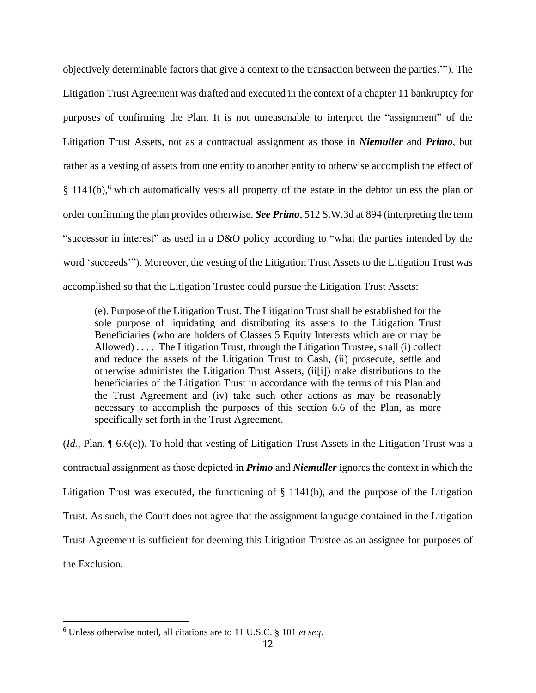objectively determinable factors that give a context to the transaction between the parties.'"). The Litigation Trust Agreement was drafted and executed in the context of a chapter 11 bankruptcy for purposes of confirming the Plan. It is not unreasonable to interpret the "assignment" of the Litigation Trust Assets, not as a contractual assignment as those in *Niemuller* and *Primo*, but rather as a vesting of assets from one entity to another entity to otherwise accomplish the effect of § 1141(b),<sup>6</sup> which automatically vests all property of the estate in the debtor unless the plan or order confirming the plan provides otherwise. *See Primo*, 512 S.W.3d at 894 (interpreting the term "successor in interest" as used in a D&O policy according to "what the parties intended by the word 'succeeds'"). Moreover, the vesting of the Litigation Trust Assets to the Litigation Trust was accomplished so that the Litigation Trustee could pursue the Litigation Trust Assets:

(e). Purpose of the Litigation Trust. The Litigation Trust shall be established for the sole purpose of liquidating and distributing its assets to the Litigation Trust Beneficiaries (who are holders of Classes 5 Equity Interests which are or may be Allowed) . . . . The Litigation Trust, through the Litigation Trustee, shall (i) collect and reduce the assets of the Litigation Trust to Cash, (ii) prosecute, settle and otherwise administer the Litigation Trust Assets, (ii[i]) make distributions to the beneficiaries of the Litigation Trust in accordance with the terms of this Plan and the Trust Agreement and (iv) take such other actions as may be reasonably necessary to accomplish the purposes of this section 6.6 of the Plan, as more specifically set forth in the Trust Agreement.

(*Id.*, Plan, ¶ 6.6(e)). To hold that vesting of Litigation Trust Assets in the Litigation Trust was a contractual assignment as those depicted in *Primo* and *Niemuller* ignores the context in which the Litigation Trust was executed, the functioning of § 1141(b), and the purpose of the Litigation Trust. As such, the Court does not agree that the assignment language contained in the Litigation Trust Agreement is sufficient for deeming this Litigation Trustee as an assignee for purposes of the Exclusion.

<sup>6</sup> Unless otherwise noted, all citations are to 11 U.S.C. § 101 *et seq*.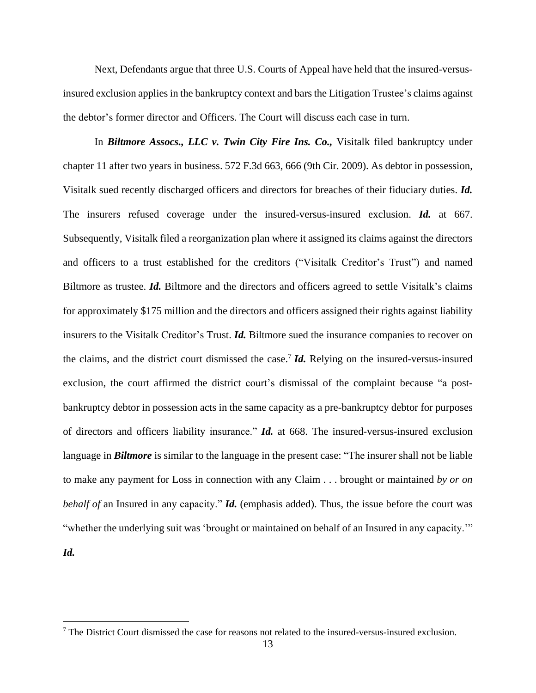Next, Defendants argue that three U.S. Courts of Appeal have held that the insured-versusinsured exclusion applies in the bankruptcy context and barsthe Litigation Trustee's claims against the debtor's former director and Officers. The Court will discuss each case in turn.

In *Biltmore Assocs., LLC v. Twin City Fire Ins. Co.,* Visitalk filed bankruptcy under chapter 11 after two years in business. 572 F.3d 663, 666 (9th Cir. 2009). As debtor in possession, Visitalk sued recently discharged officers and directors for breaches of their fiduciary duties. *Id.* The insurers refused coverage under the insured-versus-insured exclusion. *Id.* at 667. Subsequently, Visitalk filed a reorganization plan where it assigned its claims against the directors and officers to a trust established for the creditors ("Visitalk Creditor's Trust") and named Biltmore as trustee. *Id.* Biltmore and the directors and officers agreed to settle Visitalk's claims for approximately \$175 million and the directors and officers assigned their rights against liability insurers to the Visitalk Creditor's Trust. *Id.* Biltmore sued the insurance companies to recover on the claims, and the district court dismissed the case.<sup>7</sup> *Id.* Relying on the insured-versus-insured exclusion, the court affirmed the district court's dismissal of the complaint because "a postbankruptcy debtor in possession acts in the same capacity as a pre-bankruptcy debtor for purposes of directors and officers liability insurance." *Id.* at 668. The insured-versus-insured exclusion language in *Biltmore* is similar to the language in the present case: "The insurer shall not be liable to make any payment for Loss in connection with any Claim . . . brought or maintained *by or on behalf of* an Insured in any capacity." *Id.* (emphasis added). Thus, the issue before the court was "whether the underlying suit was 'brought or maintained on behalf of an Insured in any capacity.'"

*Id.*

 $7$  The District Court dismissed the case for reasons not related to the insured-versus-insured exclusion.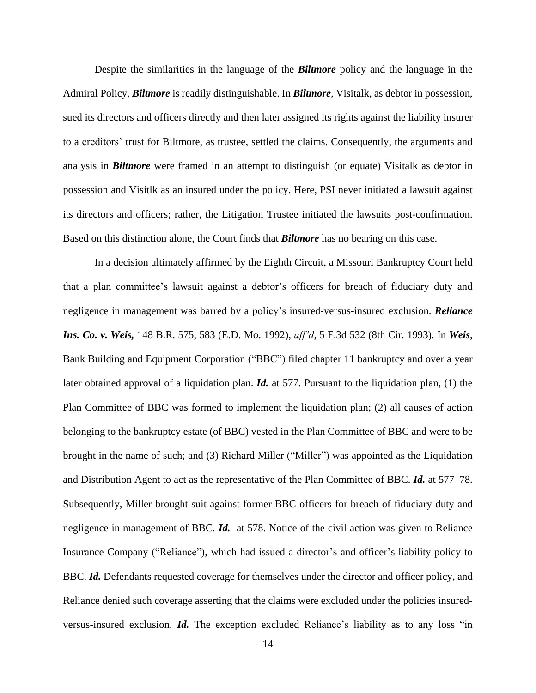Despite the similarities in the language of the *Biltmore* policy and the language in the Admiral Policy, *Biltmore* is readily distinguishable. In *Biltmore*, Visitalk, as debtor in possession, sued its directors and officers directly and then later assigned its rights against the liability insurer to a creditors' trust for Biltmore, as trustee, settled the claims. Consequently, the arguments and analysis in *Biltmore* were framed in an attempt to distinguish (or equate) Visitalk as debtor in possession and Visitlk as an insured under the policy. Here, PSI never initiated a lawsuit against its directors and officers; rather, the Litigation Trustee initiated the lawsuits post-confirmation. Based on this distinction alone, the Court finds that *Biltmore* has no bearing on this case.

In a decision ultimately affirmed by the Eighth Circuit, a Missouri Bankruptcy Court held that a plan committee's lawsuit against a debtor's officers for breach of fiduciary duty and negligence in management was barred by a policy's insured-versus-insured exclusion. *Reliance Ins. Co. v. Weis,* 148 B.R. 575, 583 (E.D. Mo. 1992), *aff'd*, 5 F.3d 532 (8th Cir. 1993). In *Weis*, Bank Building and Equipment Corporation ("BBC") filed chapter 11 bankruptcy and over a year later obtained approval of a liquidation plan. *Id.* at 577. Pursuant to the liquidation plan, (1) the Plan Committee of BBC was formed to implement the liquidation plan; (2) all causes of action belonging to the bankruptcy estate (of BBC) vested in the Plan Committee of BBC and were to be brought in the name of such; and (3) Richard Miller ("Miller") was appointed as the Liquidation and Distribution Agent to act as the representative of the Plan Committee of BBC. *Id.* at 577–78. Subsequently, Miller brought suit against former BBC officers for breach of fiduciary duty and negligence in management of BBC. *Id.* at 578. Notice of the civil action was given to Reliance Insurance Company ("Reliance"), which had issued a director's and officer's liability policy to BBC. *Id.* Defendants requested coverage for themselves under the director and officer policy, and Reliance denied such coverage asserting that the claims were excluded under the policies insuredversus-insured exclusion. *Id.* The exception excluded Reliance's liability as to any loss "in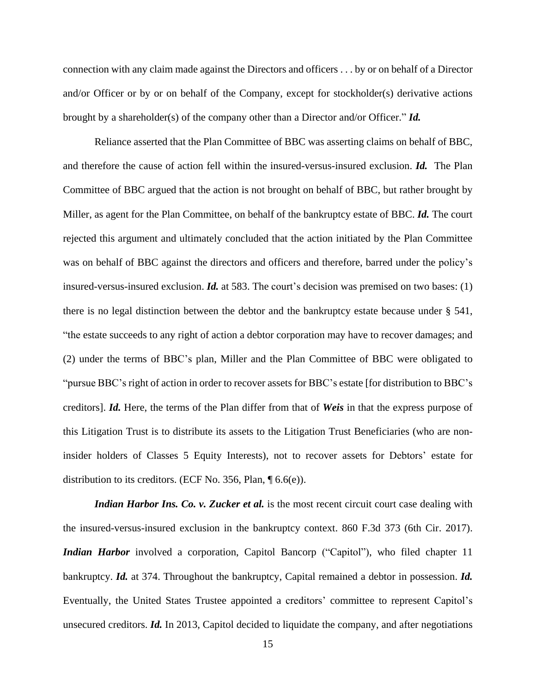connection with any claim made against the Directors and officers . . . by or on behalf of a Director and/or Officer or by or on behalf of the Company, except for stockholder(s) derivative actions brought by a shareholder(s) of the company other than a Director and/or Officer." *Id.*

Reliance asserted that the Plan Committee of BBC was asserting claims on behalf of BBC, and therefore the cause of action fell within the insured-versus-insured exclusion. *Id.* The Plan Committee of BBC argued that the action is not brought on behalf of BBC, but rather brought by Miller, as agent for the Plan Committee, on behalf of the bankruptcy estate of BBC. *Id.* The court rejected this argument and ultimately concluded that the action initiated by the Plan Committee was on behalf of BBC against the directors and officers and therefore, barred under the policy's insured-versus-insured exclusion. *Id.* at 583. The court's decision was premised on two bases: (1) there is no legal distinction between the debtor and the bankruptcy estate because under § 541, "the estate succeeds to any right of action a debtor corporation may have to recover damages; and (2) under the terms of BBC's plan, Miller and the Plan Committee of BBC were obligated to "pursue BBC's right of action in order to recover assets for BBC's estate [for distribution to BBC's creditors]. *Id.* Here, the terms of the Plan differ from that of *Weis* in that the express purpose of this Litigation Trust is to distribute its assets to the Litigation Trust Beneficiaries (who are noninsider holders of Classes 5 Equity Interests), not to recover assets for Debtors' estate for distribution to its creditors. (ECF No. 356, Plan, ¶ 6.6(e)).

*Indian Harbor Ins. Co. v. Zucker et al.* is the most recent circuit court case dealing with the insured-versus-insured exclusion in the bankruptcy context. 860 F.3d 373 (6th Cir. 2017). *Indian Harbor* involved a corporation, Capitol Bancorp ("Capitol"), who filed chapter 11 bankruptcy. *Id.* at 374. Throughout the bankruptcy, Capital remained a debtor in possession. *Id.* Eventually, the United States Trustee appointed a creditors' committee to represent Capitol's unsecured creditors. *Id.* In 2013, Capitol decided to liquidate the company, and after negotiations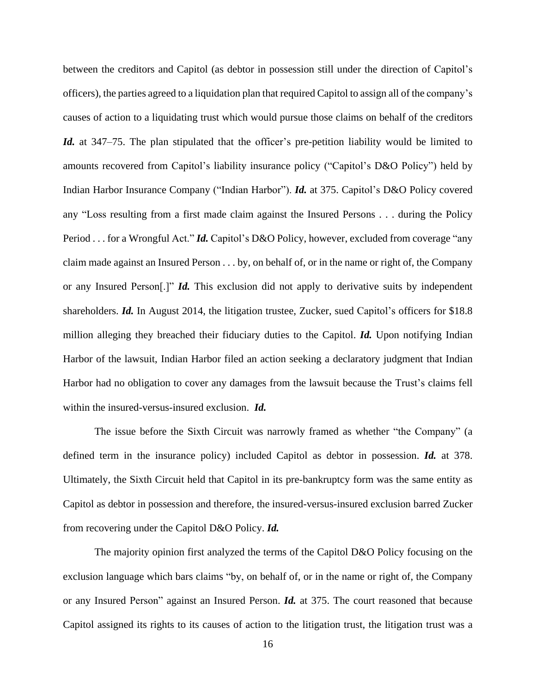between the creditors and Capitol (as debtor in possession still under the direction of Capitol's officers), the parties agreed to a liquidation plan that required Capitol to assign all of the company's causes of action to a liquidating trust which would pursue those claims on behalf of the creditors *Id.* at 347–75. The plan stipulated that the officer's pre-petition liability would be limited to amounts recovered from Capitol's liability insurance policy ("Capitol's D&O Policy") held by Indian Harbor Insurance Company ("Indian Harbor"). *Id.* at 375. Capitol's D&O Policy covered any "Loss resulting from a first made claim against the Insured Persons . . . during the Policy Period . . . for a Wrongful Act." *Id.* Capitol's D&O Policy, however, excluded from coverage "any claim made against an Insured Person . . . by, on behalf of, or in the name or right of, the Company or any Insured Person[.]" *Id.* This exclusion did not apply to derivative suits by independent shareholders. *Id.* In August 2014, the litigation trustee, Zucker, sued Capitol's officers for \$18.8 million alleging they breached their fiduciary duties to the Capitol. *Id.* Upon notifying Indian Harbor of the lawsuit, Indian Harbor filed an action seeking a declaratory judgment that Indian Harbor had no obligation to cover any damages from the lawsuit because the Trust's claims fell within the insured-versus-insured exclusion. *Id.*

The issue before the Sixth Circuit was narrowly framed as whether "the Company" (a defined term in the insurance policy) included Capitol as debtor in possession. *Id.* at 378. Ultimately, the Sixth Circuit held that Capitol in its pre-bankruptcy form was the same entity as Capitol as debtor in possession and therefore, the insured-versus-insured exclusion barred Zucker from recovering under the Capitol D&O Policy. *Id.*

The majority opinion first analyzed the terms of the Capitol D&O Policy focusing on the exclusion language which bars claims "by, on behalf of, or in the name or right of, the Company or any Insured Person" against an Insured Person. *Id.* at 375. The court reasoned that because Capitol assigned its rights to its causes of action to the litigation trust, the litigation trust was a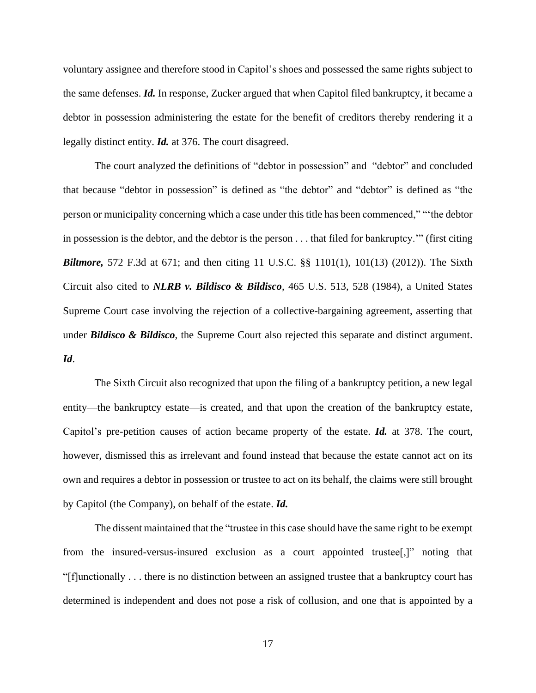voluntary assignee and therefore stood in Capitol's shoes and possessed the same rights subject to the same defenses. *Id.* In response, Zucker argued that when Capitol filed bankruptcy, it became a debtor in possession administering the estate for the benefit of creditors thereby rendering it a legally distinct entity. *Id.* at 376. The court disagreed.

The court analyzed the definitions of "debtor in possession" and "debtor" and concluded that because "debtor in possession" is defined as "the debtor" and "debtor" is defined as "the person or municipality concerning which a case under this title has been commenced," "'the debtor in possession is the debtor, and the debtor is the person . . . that filed for bankruptcy.'" (first citing *Biltmore,* 572 F.3d at 671; and then citing 11 U.S.C. §§ 1101(1), 101(13) (2012)). The Sixth Circuit also cited to *NLRB v. Bildisco & Bildisco*, 465 U.S. 513, 528 (1984), a United States Supreme Court case involving the rejection of a collective-bargaining agreement, asserting that under *Bildisco & Bildisco*, the Supreme Court also rejected this separate and distinct argument. *Id*.

The Sixth Circuit also recognized that upon the filing of a bankruptcy petition, a new legal entity—the bankruptcy estate—is created, and that upon the creation of the bankruptcy estate, Capitol's pre-petition causes of action became property of the estate. *Id.* at 378. The court, however, dismissed this as irrelevant and found instead that because the estate cannot act on its own and requires a debtor in possession or trustee to act on its behalf, the claims were still brought by Capitol (the Company), on behalf of the estate. *Id.*

The dissent maintained that the "trustee in this case should have the same right to be exempt from the insured-versus-insured exclusion as a court appointed trustee[,]" noting that "[f]unctionally . . . there is no distinction between an assigned trustee that a bankruptcy court has determined is independent and does not pose a risk of collusion, and one that is appointed by a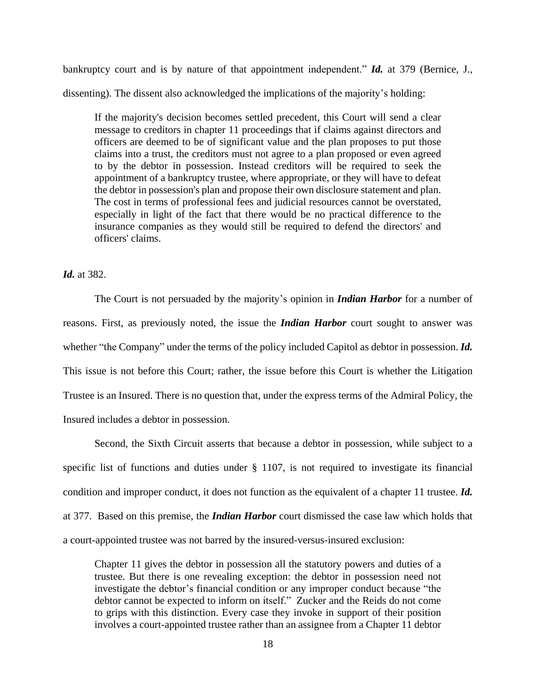bankruptcy court and is by nature of that appointment independent." *Id.* at 379 (Bernice, J., dissenting). The dissent also acknowledged the implications of the majority's holding:

If the majority's decision becomes settled precedent, this Court will send a clear message to creditors in chapter 11 proceedings that if claims against directors and officers are deemed to be of significant value and the plan proposes to put those claims into a trust, the creditors must not agree to a plan proposed or even agreed to by the debtor in possession. Instead creditors will be required to seek the appointment of a bankruptcy trustee, where appropriate, or they will have to defeat the debtor in possession's plan and propose their own disclosure statement and plan. The cost in terms of professional fees and judicial resources cannot be overstated, especially in light of the fact that there would be no practical difference to the insurance companies as they would still be required to defend the directors' and officers' claims.

#### *Id.* at 382.

The Court is not persuaded by the majority's opinion in *Indian Harbor* for a number of reasons. First, as previously noted, the issue the *Indian Harbor* court sought to answer was whether "the Company" under the terms of the policy included Capitol as debtor in possession. *Id.* This issue is not before this Court; rather, the issue before this Court is whether the Litigation Trustee is an Insured. There is no question that, under the express terms of the Admiral Policy, the Insured includes a debtor in possession.

Second, the Sixth Circuit asserts that because a debtor in possession, while subject to a specific list of functions and duties under § 1107, is not required to investigate its financial condition and improper conduct, it does not function as the equivalent of a chapter 11 trustee. *Id.* at 377. Based on this premise, the *Indian Harbor* court dismissed the case law which holds that a court-appointed trustee was not barred by the insured-versus-insured exclusion:

Chapter 11 gives the debtor in possession all the statutory powers and duties of a trustee. But there is one revealing exception: the debtor in possession need not investigate the debtor's financial condition or any improper conduct because "the debtor cannot be expected to inform on itself." Zucker and the Reids do not come to grips with this distinction. Every case they invoke in support of their position involves a court-appointed trustee rather than an assignee from a Chapter 11 debtor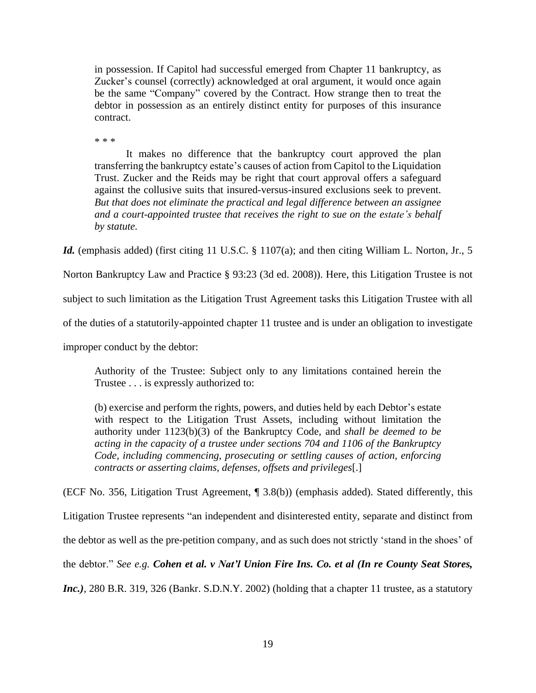in possession. If Capitol had successful emerged from Chapter 11 bankruptcy, as Zucker's counsel (correctly) acknowledged at oral argument, it would once again be the same "Company" covered by the Contract. How strange then to treat the debtor in possession as an entirely distinct entity for purposes of this insurance contract.

\* \* \*

It makes no difference that the bankruptcy court approved the plan transferring the bankruptcy estate's causes of action from Capitol to the Liquidation Trust. Zucker and the Reids may be right that court approval offers a safeguard against the collusive suits that insured-versus-insured exclusions seek to prevent. *But that does not eliminate the practical and legal difference between an assignee and a court-appointed trustee that receives the right to sue on the estate's behalf by statute.*

Id. (emphasis added) (first citing 11 U.S.C. § 1107(a); and then citing William L. Norton, Jr., 5

Norton Bankruptcy Law and Practice § 93:23 (3d ed. 2008)). Here, this Litigation Trustee is not

subject to such limitation as the Litigation Trust Agreement tasks this Litigation Trustee with all

of the duties of a statutorily-appointed chapter 11 trustee and is under an obligation to investigate

improper conduct by the debtor:

Authority of the Trustee: Subject only to any limitations contained herein the Trustee . . . is expressly authorized to:

(b) exercise and perform the rights, powers, and duties held by each Debtor's estate with respect to the Litigation Trust Assets, including without limitation the authority under 1123(b)(3) of the Bankruptcy Code, and *shall be deemed to be acting in the capacity of a trustee under sections 704 and 1106 of the Bankruptcy Code, including commencing, prosecuting or settling causes of action, enforcing contracts or asserting claims, defenses, offsets and privileges*[.]

(ECF No. 356, Litigation Trust Agreement, ¶ 3.8(b)) (emphasis added). Stated differently, this Litigation Trustee represents "an independent and disinterested entity, separate and distinct from the debtor as well as the pre-petition company, and as such does not strictly 'stand in the shoes' of the debtor." *See e.g. Cohen et al. v Nat'l Union Fire Ins. Co. et al (In re County Seat Stores, Inc.*), 280 B.R. 319, 326 (Bankr. S.D.N.Y. 2002) (holding that a chapter 11 trustee, as a statutory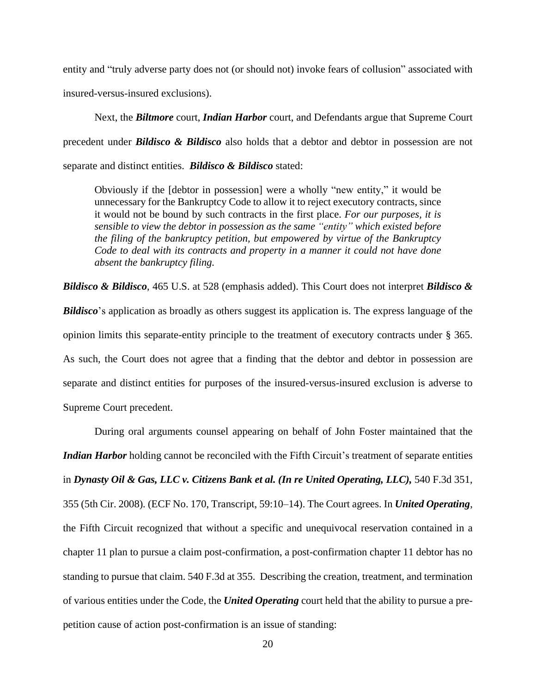entity and "truly adverse party does not (or should not) invoke fears of collusion" associated with insured-versus-insured exclusions).

Next, the *Biltmore* court, *Indian Harbor* court, and Defendants argue that Supreme Court precedent under *Bildisco & Bildisco* also holds that a debtor and debtor in possession are not separate and distinct entities. *Bildisco & Bildisco* stated:

Obviously if the [debtor in possession] were a wholly "new entity," it would be unnecessary for the Bankruptcy Code to allow it to reject executory contracts, since it would not be bound by such contracts in the first place. *For our purposes, it is sensible to view the debtor in possession as the same "entity" which existed before the filing of the bankruptcy petition, but empowered by virtue of the Bankruptcy Code to deal with its contracts and property in a manner it could not have done absent the bankruptcy filing.*

*Bildisco & Bildisco*, 465 U.S. at 528 (emphasis added). This Court does not interpret *Bildisco & Bildisco*'s application as broadly as others suggest its application is. The express language of the opinion limits this separate-entity principle to the treatment of executory contracts under § 365. As such, the Court does not agree that a finding that the debtor and debtor in possession are separate and distinct entities for purposes of the insured-versus-insured exclusion is adverse to Supreme Court precedent.

During oral arguments counsel appearing on behalf of John Foster maintained that the *Indian Harbor* holding cannot be reconciled with the Fifth Circuit's treatment of separate entities in *Dynasty Oil & Gas, LLC v. Citizens Bank et al. (In re United Operating, LLC),* 540 F.3d 351, 355 (5th Cir. 2008)*.* (ECF No. 170, Transcript, 59:10–14). The Court agrees. In *United Operating*, the Fifth Circuit recognized that without a specific and unequivocal reservation contained in a chapter 11 plan to pursue a claim post-confirmation, a post-confirmation chapter 11 debtor has no standing to pursue that claim. 540 F.3d at 355. Describing the creation, treatment, and termination of various entities under the Code, the *United Operating* court held that the ability to pursue a prepetition cause of action post-confirmation is an issue of standing: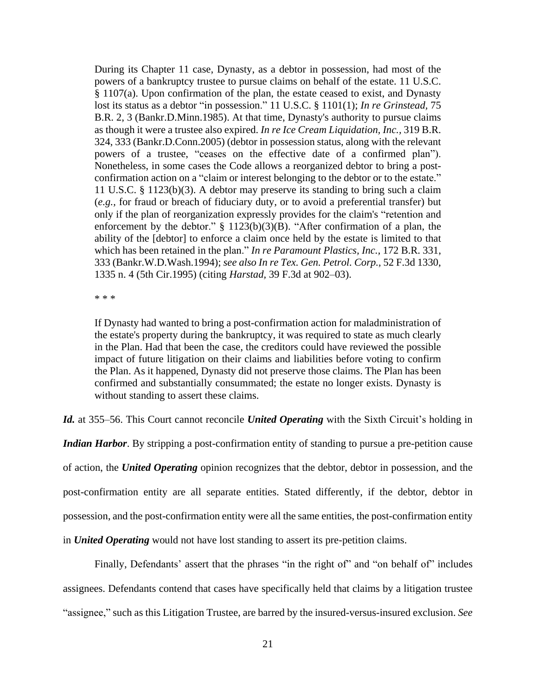During its Chapter 11 case, Dynasty, as a debtor in possession, had most of the powers of a bankruptcy trustee to pursue claims on behalf of the estate. 11 [U.S.C.](https://1.next.westlaw.com/Link/Document/FullText?findType=L&pubNum=1000546&cite=11USCAS1107&originatingDoc=Ic8ad7ae6688e11ddb6a3a099756c05b7&refType=RB&originationContext=document&transitionType=DocumentItem&contextData=(sc.UserEnteredCitation)#co_pp_8b3b0000958a4) § [1107\(a\).](https://1.next.westlaw.com/Link/Document/FullText?findType=L&pubNum=1000546&cite=11USCAS1107&originatingDoc=Ic8ad7ae6688e11ddb6a3a099756c05b7&refType=RB&originationContext=document&transitionType=DocumentItem&contextData=(sc.UserEnteredCitation)#co_pp_8b3b0000958a4) Upon confirmation of the plan, the estate ceased to exist, and Dynasty lost its status as a debtor "in possession." 11 U.S.C. § [1101\(1\);](https://1.next.westlaw.com/Link/Document/FullText?findType=L&pubNum=1000546&cite=11USCAS1101&originatingDoc=Ic8ad7ae6688e11ddb6a3a099756c05b7&refType=RB&originationContext=document&transitionType=DocumentItem&contextData=(sc.UserEnteredCitation)#co_pp_f1c50000821b0) *In re [Grinstead,](https://1.next.westlaw.com/Link/Document/FullText?findType=Y&serNum=1987085154&pubNum=164&originatingDoc=Ic8ad7ae6688e11ddb6a3a099756c05b7&refType=RP&fi=co_pp_sp_164_3&originationContext=document&transitionType=DocumentItem&contextData=(sc.UserEnteredCitation)#co_pp_sp_164_3)* 75 B.R. 2, 3 [\(Bankr.D.Minn.1985\).](https://1.next.westlaw.com/Link/Document/FullText?findType=Y&serNum=1987085154&pubNum=164&originatingDoc=Ic8ad7ae6688e11ddb6a3a099756c05b7&refType=RP&fi=co_pp_sp_164_3&originationContext=document&transitionType=DocumentItem&contextData=(sc.UserEnteredCitation)#co_pp_sp_164_3) At that time, Dynasty's authority to pursue claims as though it were a trustee also expired. *In re Ice Cream [Liquidation,](https://1.next.westlaw.com/Link/Document/FullText?findType=Y&serNum=2006119784&pubNum=164&originatingDoc=Ic8ad7ae6688e11ddb6a3a099756c05b7&refType=RP&fi=co_pp_sp_164_333&originationContext=document&transitionType=DocumentItem&contextData=(sc.UserEnteredCitation)#co_pp_sp_164_333) Inc.,* 319 B.R. 324, 333 [\(Bankr.D.Conn.2005\)](https://1.next.westlaw.com/Link/Document/FullText?findType=Y&serNum=2006119784&pubNum=164&originatingDoc=Ic8ad7ae6688e11ddb6a3a099756c05b7&refType=RP&fi=co_pp_sp_164_333&originationContext=document&transitionType=DocumentItem&contextData=(sc.UserEnteredCitation)#co_pp_sp_164_333) (debtor in possession status, along with the relevant powers of a trustee, "ceases on the effective date of a confirmed plan"). Nonetheless, in some cases the Code allows a reorganized debtor to bring a postconfirmation action on a "claim or interest belonging to the debtor or to the estate." 11 U.S.C. § [1123\(b\)\(3\).](https://1.next.westlaw.com/Link/Document/FullText?findType=L&pubNum=1000546&cite=11USCAS1123&originatingDoc=Ic8ad7ae6688e11ddb6a3a099756c05b7&refType=RB&originationContext=document&transitionType=DocumentItem&contextData=(sc.UserEnteredCitation)#co_pp_d801000002763) A debtor may preserve its standing to bring such a claim (*e.g.,* for fraud or breach of fiduciary duty, or to avoid a preferential transfer) but only if the plan of reorganization expressly provides for the claim's "retention and enforcement by the debtor."  $\S$  [1123\(b\)\(3\)\(B\).](https://1.next.westlaw.com/Link/Document/FullText?findType=L&pubNum=1000546&cite=11USCAS1123&originatingDoc=Ic8ad7ae6688e11ddb6a3a099756c05b7&refType=RB&originationContext=document&transitionType=DocumentItem&contextData=(sc.UserEnteredCitation)#co_pp_6a460000f7311) "After confirmation of a plan, the ability of the [debtor] to enforce a claim once held by the estate is limited to that which has been retained in the plan." *In re [Paramount](https://1.next.westlaw.com/Link/Document/FullText?findType=Y&serNum=1994190997&pubNum=164&originatingDoc=Ic8ad7ae6688e11ddb6a3a099756c05b7&refType=RP&fi=co_pp_sp_164_333&originationContext=document&transitionType=DocumentItem&contextData=(sc.UserEnteredCitation)#co_pp_sp_164_333) Plastics, Inc.,* 172 B.R. 331, 333 [\(Bankr.W.D.Wash.1994\);](https://1.next.westlaw.com/Link/Document/FullText?findType=Y&serNum=1994190997&pubNum=164&originatingDoc=Ic8ad7ae6688e11ddb6a3a099756c05b7&refType=RP&fi=co_pp_sp_164_333&originationContext=document&transitionType=DocumentItem&contextData=(sc.UserEnteredCitation)#co_pp_sp_164_333) *see also In re Tex. Gen. [Petrol.](https://1.next.westlaw.com/Link/Document/FullText?findType=Y&serNum=1995109694&pubNum=506&originatingDoc=Ic8ad7ae6688e11ddb6a3a099756c05b7&refType=RP&fi=co_pp_sp_506_1335&originationContext=document&transitionType=DocumentItem&contextData=(sc.UserEnteredCitation)#co_pp_sp_506_1335) Corp.,* 52 F.3d 1330, 1335 n. 4 (5th [Cir.1995\)](https://1.next.westlaw.com/Link/Document/FullText?findType=Y&serNum=1995109694&pubNum=506&originatingDoc=Ic8ad7ae6688e11ddb6a3a099756c05b7&refType=RP&fi=co_pp_sp_506_1335&originationContext=document&transitionType=DocumentItem&contextData=(sc.UserEnteredCitation)#co_pp_sp_506_1335) (citing *Harstad,* 39 F.3d at [902–03\).](https://1.next.westlaw.com/Link/Document/FullText?findType=Y&serNum=1994224169&pubNum=506&originatingDoc=Ic8ad7ae6688e11ddb6a3a099756c05b7&refType=RP&fi=co_pp_sp_506_902&originationContext=document&transitionType=DocumentItem&contextData=(sc.UserEnteredCitation)#co_pp_sp_506_902)

\* \* \*

If Dynasty had wanted to bring a post-confirmation action for maladministration of the estate's property during the bankruptcy, it was required to state as much clearly in the Plan. Had that been the case, the creditors could have reviewed the possible impact of future litigation on their claims and liabilities before voting to confirm the Plan. As it happened, Dynasty did not preserve those claims. The Plan has been confirmed and substantially consummated; the estate no longer exists. Dynasty is without standing to assert these claims.

*Id.* at 355–56. This Court cannot reconcile *United Operating* with the Sixth Circuit's holding in

*Indian Harbor*. By stripping a post-confirmation entity of standing to pursue a pre-petition cause of action, the *United Operating* opinion recognizes that the debtor, debtor in possession, and the post-confirmation entity are all separate entities. Stated differently, if the debtor, debtor in possession, and the post-confirmation entity were all the same entities, the post-confirmation entity in *United Operating* would not have lost standing to assert its pre-petition claims.

Finally, Defendants' assert that the phrases "in the right of" and "on behalf of" includes assignees. Defendants contend that cases have specifically held that claims by a litigation trustee "assignee," such as this Litigation Trustee, are barred by the insured-versus-insured exclusion. *See*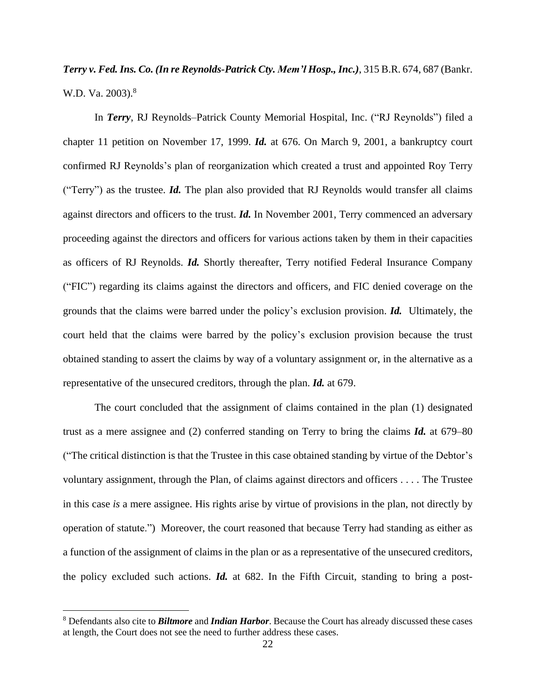# *Terry v. Fed. Ins. Co. (In re Reynolds-Patrick Cty. Mem'l Hosp., Inc.)*, 315 B.R. 674, 687 (Bankr. W.D. Va. 2003).<sup>8</sup>

In *Terry*, RJ Reynolds–Patrick County Memorial Hospital, Inc. ("RJ Reynolds") filed a chapter 11 petition on November 17, 1999. *Id.* at 676. On March 9, 2001, a bankruptcy court confirmed RJ Reynolds's plan of reorganization which created a trust and appointed Roy Terry ("Terry") as the trustee. *Id.* The plan also provided that RJ Reynolds would transfer all claims against directors and officers to the trust. *Id.* In November 2001, Terry commenced an adversary proceeding against the directors and officers for various actions taken by them in their capacities as officers of RJ Reynolds. *Id.* Shortly thereafter, Terry notified Federal Insurance Company ("FIC") regarding its claims against the directors and officers, and FIC denied coverage on the grounds that the claims were barred under the policy's exclusion provision. *Id.* Ultimately, the court held that the claims were barred by the policy's exclusion provision because the trust obtained standing to assert the claims by way of a voluntary assignment or, in the alternative as a representative of the unsecured creditors, through the plan. *Id.* at 679.

The court concluded that the assignment of claims contained in the plan (1) designated trust as a mere assignee and (2) conferred standing on Terry to bring the claims *Id.* at 679–80 ("The critical distinction is that the Trustee in this case obtained standing by virtue of the Debtor's voluntary assignment, through the Plan, of claims against directors and officers . . . . The Trustee in this case *is* a mere assignee. His rights arise by virtue of provisions in the plan, not directly by operation of statute.") Moreover, the court reasoned that because Terry had standing as either as a function of the assignment of claims in the plan or as a representative of the unsecured creditors, the policy excluded such actions. *Id.* at 682. In the Fifth Circuit, standing to bring a post-

<sup>8</sup> Defendants also cite to *Biltmore* and *Indian Harbor*. Because the Court has already discussed these cases at length, the Court does not see the need to further address these cases.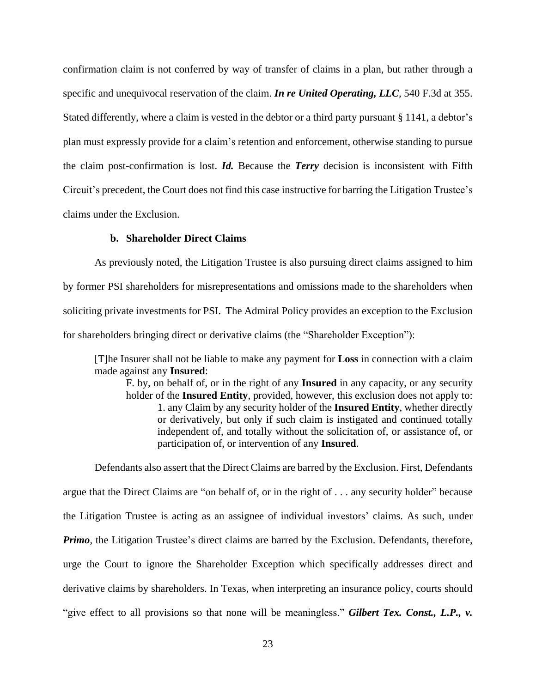confirmation claim is not conferred by way of transfer of claims in a plan, but rather through a specific and unequivocal reservation of the claim. *In re United Operating, LLC,* 540 F.3d at 355. Stated differently, where a claim is vested in the debtor or a third party pursuant § 1141, a debtor's plan must expressly provide for a claim's retention and enforcement, otherwise standing to pursue the claim post-confirmation is lost. *Id.* Because the *Terry* decision is inconsistent with Fifth Circuit's precedent, the Court does not find this case instructive for barring the Litigation Trustee's claims under the Exclusion.

## **b. Shareholder Direct Claims**

As previously noted, the Litigation Trustee is also pursuing direct claims assigned to him by former PSI shareholders for misrepresentations and omissions made to the shareholders when soliciting private investments for PSI. The Admiral Policy provides an exception to the Exclusion for shareholders bringing direct or derivative claims (the "Shareholder Exception"):

[T]he Insurer shall not be liable to make any payment for **Loss** in connection with a claim made against any **Insured**:

F. by, on behalf of, or in the right of any **Insured** in any capacity, or any security holder of the **Insured Entity**, provided, however, this exclusion does not apply to: 1. any Claim by any security holder of the **Insured Entity**, whether directly or derivatively, but only if such claim is instigated and continued totally independent of, and totally without the solicitation of, or assistance of, or participation of, or intervention of any **Insured**.

Defendants also assert that the Direct Claims are barred by the Exclusion. First, Defendants argue that the Direct Claims are "on behalf of, or in the right of . . . any security holder" because the Litigation Trustee is acting as an assignee of individual investors' claims. As such, under *Primo*, the Litigation Trustee's direct claims are barred by the Exclusion. Defendants, therefore, urge the Court to ignore the Shareholder Exception which specifically addresses direct and derivative claims by shareholders. In Texas, when interpreting an insurance policy, courts should "give effect to all provisions so that none will be meaningless." *Gilbert Tex. Const., L.P., v.*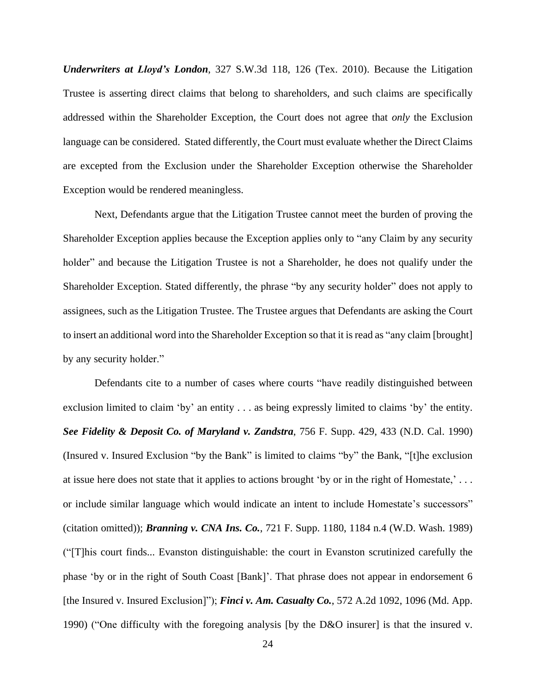*Underwriters at Lloyd's London*, 327 S.W.3d 118, 126 (Tex. 2010). Because the Litigation Trustee is asserting direct claims that belong to shareholders, and such claims are specifically addressed within the Shareholder Exception, the Court does not agree that *only* the Exclusion language can be considered. Stated differently, the Court must evaluate whether the Direct Claims are excepted from the Exclusion under the Shareholder Exception otherwise the Shareholder Exception would be rendered meaningless.

Next, Defendants argue that the Litigation Trustee cannot meet the burden of proving the Shareholder Exception applies because the Exception applies only to "any Claim by any security holder" and because the Litigation Trustee is not a Shareholder, he does not qualify under the Shareholder Exception. Stated differently, the phrase "by any security holder" does not apply to assignees, such as the Litigation Trustee. The Trustee argues that Defendants are asking the Court to insert an additional word into the Shareholder Exception so that it is read as "any claim [brought] by any security holder."

Defendants cite to a number of cases where courts "have readily distinguished between exclusion limited to claim 'by' an entity . . . as being expressly limited to claims 'by' the entity. *See Fidelity & Deposit Co. of Maryland v. Zandstra*, 756 F. Supp. 429, 433 (N.D. Cal. 1990) (Insured v. Insured Exclusion "by the Bank" is limited to claims "by" the Bank, "[t]he exclusion at issue here does not state that it applies to actions brought 'by or in the right of Homestate,' . . . or include similar language which would indicate an intent to include Homestate's successors" (citation omitted)); *Branning v. CNA Ins. Co.*, 721 F. Supp. 1180, 1184 n.4 (W.D. Wash. 1989) ("[T]his court finds... Evanston distinguishable: the court in Evanston scrutinized carefully the phase 'by or in the right of South Coast [Bank]'. That phrase does not appear in endorsement 6 [the Insured v. Insured Exclusion]"); *Finci v. Am. Casualty Co.*, 572 A.2d 1092, 1096 (Md. App. 1990) ("One difficulty with the foregoing analysis [by the D&O insurer] is that the insured v.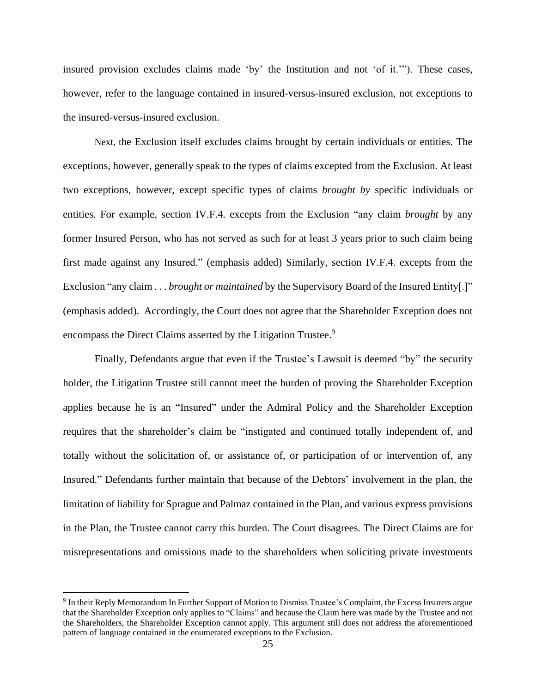insured provision excludes claims made 'by' the Institution and not 'of it.'"). These cases, however, refer to the language contained in insured-versus-insured exclusion, not exceptions to the insured-versus-insured exclusion.

Next, the Exclusion itself excludes claims brought by certain individuals or entities. The exceptions, however, generally speak to the types of claims excepted from the Exclusion. At least two exceptions, however, except specific types of claims *brought by* specific individuals or entities. For example, section IV.F.4. excepts from the Exclusion "any claim *brought* by any former Insured Person, who has not served as such for at least 3 years prior to such claim being first made against any Insured." (emphasis added) Similarly, section IV.F.4. excepts from the Exclusion "any claim . . . *brought or maintained* by the Supervisory Board of the Insured Entity[.]" (emphasis added). Accordingly, the Court does not agree that the Shareholder Exception does not encompass the Direct Claims asserted by the Litigation Trustee.<sup>9</sup>

Finally, Defendants argue that even if the Trustee's Lawsuit is deemed "by" the security holder, the Litigation Trustee still cannot meet the burden of proving the Shareholder Exception applies because he is an "Insured" under the Admiral Policy and the Shareholder Exception requires that the shareholder's claim be "instigated and continued totally independent of, and totally without the solicitation of, or assistance of, or participation of or intervention of, any Insured." Defendants further maintain that because of the Debtors' involvement in the plan, the limitation of liability for Sprague and Palmaz contained in the Plan, and various express provisions in the Plan, the Trustee cannot carry this burden. The Court disagrees. The Direct Claims are for misrepresentations and omissions made to the shareholders when soliciting private investments

<sup>9</sup> In their Reply Memorandum In Further Support of Motion to Dismiss Trustee's Complaint, the Excess Insurers argue that the Shareholder Exception only applies to "Claims" and because the Claim here was made by the Trustee and not the Shareholders, the Shareholder Exception cannot apply. This argument still does not address the aforementioned pattern of language contained in the enumerated exceptions to the Exclusion.